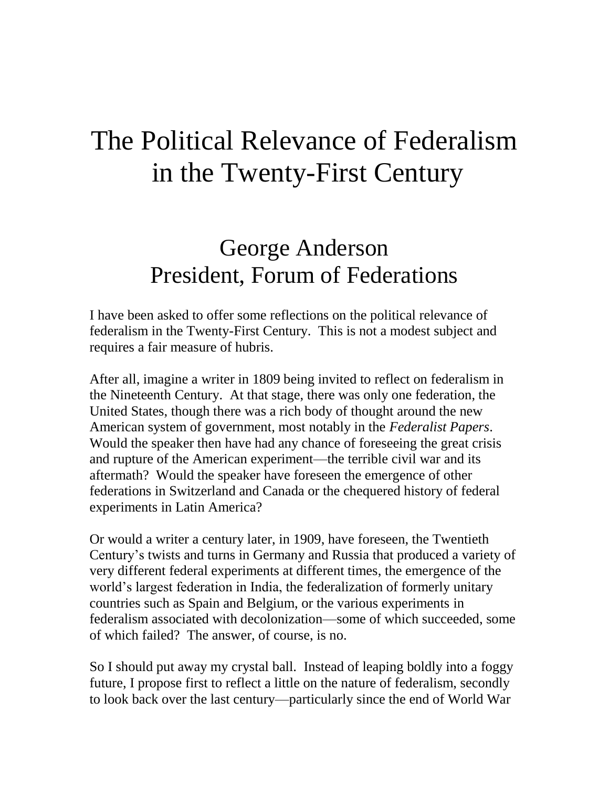# The Political Relevance of Federalism in the Twenty-First Century

# George Anderson President, Forum of Federations

I have been asked to offer some reflections on the political relevance of federalism in the Twenty-First Century. This is not a modest subject and requires a fair measure of hubris.

After all, imagine a writer in 1809 being invited to reflect on federalism in the Nineteenth Century. At that stage, there was only one federation, the United States, though there was a rich body of thought around the new American system of government, most notably in the *Federalist Papers*. Would the speaker then have had any chance of foreseeing the great crisis and rupture of the American experiment—the terrible civil war and its aftermath? Would the speaker have foreseen the emergence of other federations in Switzerland and Canada or the chequered history of federal experiments in Latin America?

Or would a writer a century later, in 1909, have foreseen, the Twentieth Century's twists and turns in Germany and Russia that produced a variety of very different federal experiments at different times, the emergence of the world's largest federation in India, the federalization of formerly unitary countries such as Spain and Belgium, or the various experiments in federalism associated with decolonization—some of which succeeded, some of which failed? The answer, of course, is no.

So I should put away my crystal ball. Instead of leaping boldly into a foggy future, I propose first to reflect a little on the nature of federalism, secondly to look back over the last century—particularly since the end of World War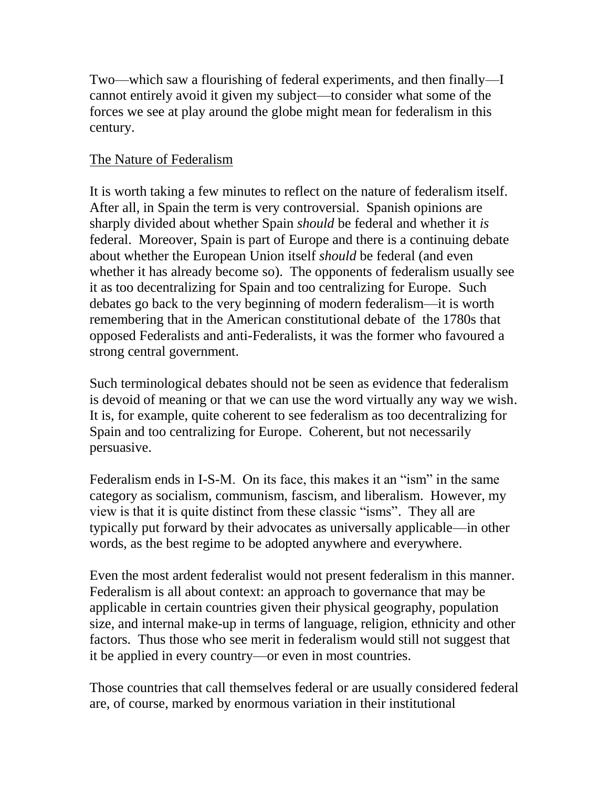Two—which saw a flourishing of federal experiments, and then finally—I cannot entirely avoid it given my subject—to consider what some of the forces we see at play around the globe might mean for federalism in this century.

# The Nature of Federalism

It is worth taking a few minutes to reflect on the nature of federalism itself. After all, in Spain the term is very controversial. Spanish opinions are sharply divided about whether Spain *should* be federal and whether it *is*  federal. Moreover, Spain is part of Europe and there is a continuing debate about whether the European Union itself *should* be federal (and even whether it has already become so). The opponents of federalism usually see it as too decentralizing for Spain and too centralizing for Europe. Such debates go back to the very beginning of modern federalism—it is worth remembering that in the American constitutional debate of the 1780s that opposed Federalists and anti-Federalists, it was the former who favoured a strong central government.

Such terminological debates should not be seen as evidence that federalism is devoid of meaning or that we can use the word virtually any way we wish. It is, for example, quite coherent to see federalism as too decentralizing for Spain and too centralizing for Europe. Coherent, but not necessarily persuasive.

Federalism ends in I-S-M. On its face, this makes it an "ism" in the same category as socialism, communism, fascism, and liberalism. However, my view is that it is quite distinct from these classic "isms". They all are typically put forward by their advocates as universally applicable—in other words, as the best regime to be adopted anywhere and everywhere.

Even the most ardent federalist would not present federalism in this manner. Federalism is all about context: an approach to governance that may be applicable in certain countries given their physical geography, population size, and internal make-up in terms of language, religion, ethnicity and other factors. Thus those who see merit in federalism would still not suggest that it be applied in every country—or even in most countries.

Those countries that call themselves federal or are usually considered federal are, of course, marked by enormous variation in their institutional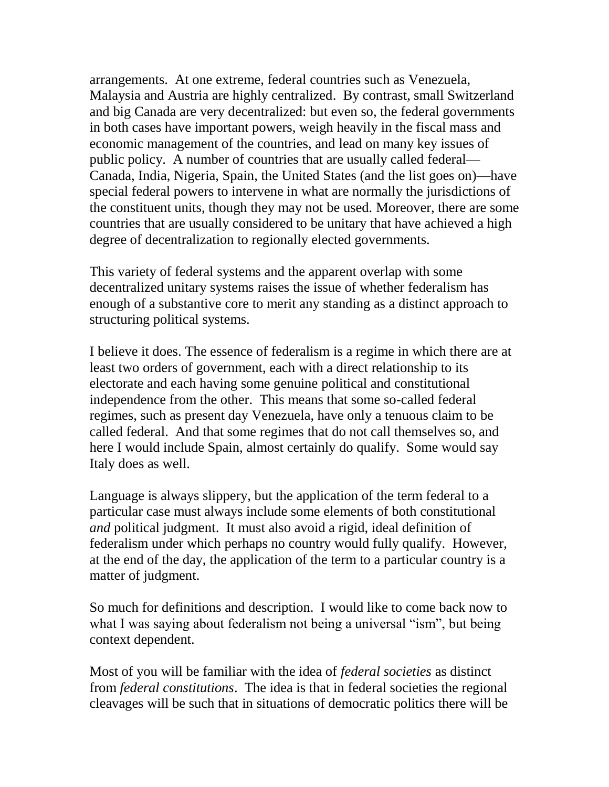arrangements. At one extreme, federal countries such as Venezuela, Malaysia and Austria are highly centralized. By contrast, small Switzerland and big Canada are very decentralized: but even so, the federal governments in both cases have important powers, weigh heavily in the fiscal mass and economic management of the countries, and lead on many key issues of public policy. A number of countries that are usually called federal— Canada, India, Nigeria, Spain, the United States (and the list goes on)—have special federal powers to intervene in what are normally the jurisdictions of the constituent units, though they may not be used. Moreover, there are some countries that are usually considered to be unitary that have achieved a high degree of decentralization to regionally elected governments.

This variety of federal systems and the apparent overlap with some decentralized unitary systems raises the issue of whether federalism has enough of a substantive core to merit any standing as a distinct approach to structuring political systems.

I believe it does. The essence of federalism is a regime in which there are at least two orders of government, each with a direct relationship to its electorate and each having some genuine political and constitutional independence from the other. This means that some so-called federal regimes, such as present day Venezuela, have only a tenuous claim to be called federal. And that some regimes that do not call themselves so, and here I would include Spain, almost certainly do qualify. Some would say Italy does as well.

Language is always slippery, but the application of the term federal to a particular case must always include some elements of both constitutional *and* political judgment. It must also avoid a rigid, ideal definition of federalism under which perhaps no country would fully qualify. However, at the end of the day, the application of the term to a particular country is a matter of judgment.

So much for definitions and description. I would like to come back now to what I was saying about federalism not being a universal "ism", but being context dependent.

Most of you will be familiar with the idea of *federal societies* as distinct from *federal constitutions*. The idea is that in federal societies the regional cleavages will be such that in situations of democratic politics there will be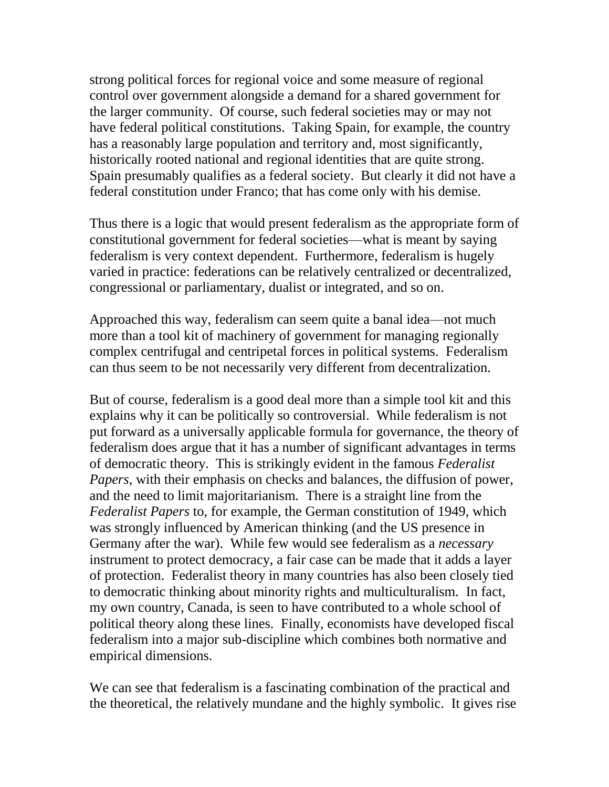strong political forces for regional voice and some measure of regional control over government alongside a demand for a shared government for the larger community. Of course, such federal societies may or may not have federal political constitutions. Taking Spain, for example, the country has a reasonably large population and territory and, most significantly, historically rooted national and regional identities that are quite strong. Spain presumably qualifies as a federal society. But clearly it did not have a federal constitution under Franco; that has come only with his demise.

Thus there is a logic that would present federalism as the appropriate form of constitutional government for federal societies—what is meant by saying federalism is very context dependent. Furthermore, federalism is hugely varied in practice: federations can be relatively centralized or decentralized, congressional or parliamentary, dualist or integrated, and so on.

Approached this way, federalism can seem quite a banal idea—not much more than a tool kit of machinery of government for managing regionally complex centrifugal and centripetal forces in political systems. Federalism can thus seem to be not necessarily very different from decentralization.

But of course, federalism is a good deal more than a simple tool kit and this explains why it can be politically so controversial. While federalism is not put forward as a universally applicable formula for governance, the theory of federalism does argue that it has a number of significant advantages in terms of democratic theory. This is strikingly evident in the famous *Federalist Papers*, with their emphasis on checks and balances, the diffusion of power, and the need to limit majoritarianism. There is a straight line from the *Federalist Papers* to, for example, the German constitution of 1949, which was strongly influenced by American thinking (and the US presence in Germany after the war). While few would see federalism as a *necessary* instrument to protect democracy, a fair case can be made that it adds a layer of protection. Federalist theory in many countries has also been closely tied to democratic thinking about minority rights and multiculturalism. In fact, my own country, Canada, is seen to have contributed to a whole school of political theory along these lines. Finally, economists have developed fiscal federalism into a major sub-discipline which combines both normative and empirical dimensions.

We can see that federalism is a fascinating combination of the practical and the theoretical, the relatively mundane and the highly symbolic. It gives rise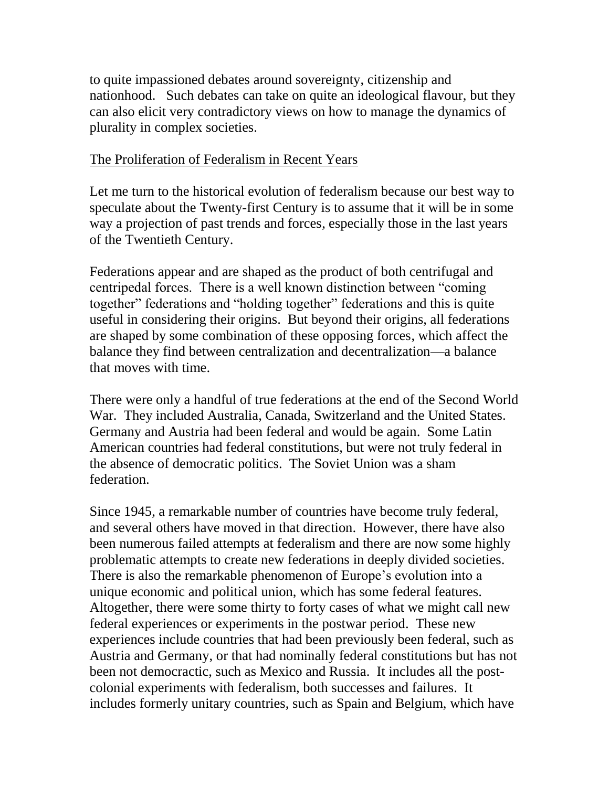to quite impassioned debates around sovereignty, citizenship and nationhood. Such debates can take on quite an ideological flavour, but they can also elicit very contradictory views on how to manage the dynamics of plurality in complex societies.

#### The Proliferation of Federalism in Recent Years

Let me turn to the historical evolution of federalism because our best way to speculate about the Twenty-first Century is to assume that it will be in some way a projection of past trends and forces, especially those in the last years of the Twentieth Century.

Federations appear and are shaped as the product of both centrifugal and centripedal forces. There is a well known distinction between "coming together" federations and "holding together" federations and this is quite useful in considering their origins. But beyond their origins, all federations are shaped by some combination of these opposing forces, which affect the balance they find between centralization and decentralization—a balance that moves with time.

There were only a handful of true federations at the end of the Second World War. They included Australia, Canada, Switzerland and the United States. Germany and Austria had been federal and would be again. Some Latin American countries had federal constitutions, but were not truly federal in the absence of democratic politics. The Soviet Union was a sham federation.

Since 1945, a remarkable number of countries have become truly federal, and several others have moved in that direction. However, there have also been numerous failed attempts at federalism and there are now some highly problematic attempts to create new federations in deeply divided societies. There is also the remarkable phenomenon of Europe's evolution into a unique economic and political union, which has some federal features. Altogether, there were some thirty to forty cases of what we might call new federal experiences or experiments in the postwar period. These new experiences include countries that had been previously been federal, such as Austria and Germany, or that had nominally federal constitutions but has not been not democractic, such as Mexico and Russia. It includes all the postcolonial experiments with federalism, both successes and failures. It includes formerly unitary countries, such as Spain and Belgium, which have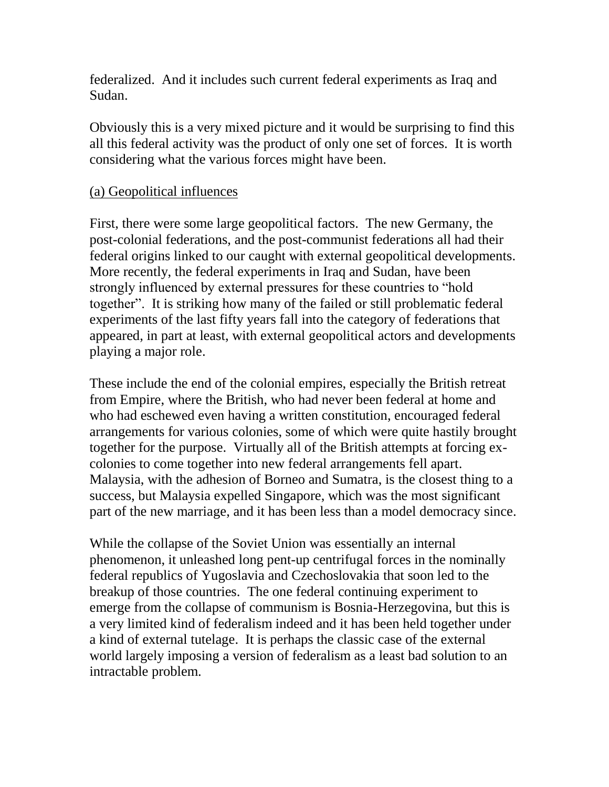federalized. And it includes such current federal experiments as Iraq and Sudan.

Obviously this is a very mixed picture and it would be surprising to find this all this federal activity was the product of only one set of forces. It is worth considering what the various forces might have been.

#### (a) Geopolitical influences

First, there were some large geopolitical factors. The new Germany, the post-colonial federations, and the post-communist federations all had their federal origins linked to our caught with external geopolitical developments. More recently, the federal experiments in Iraq and Sudan, have been strongly influenced by external pressures for these countries to "hold together". It is striking how many of the failed or still problematic federal experiments of the last fifty years fall into the category of federations that appeared, in part at least, with external geopolitical actors and developments playing a major role.

These include the end of the colonial empires, especially the British retreat from Empire, where the British, who had never been federal at home and who had eschewed even having a written constitution, encouraged federal arrangements for various colonies, some of which were quite hastily brought together for the purpose. Virtually all of the British attempts at forcing excolonies to come together into new federal arrangements fell apart. Malaysia, with the adhesion of Borneo and Sumatra, is the closest thing to a success, but Malaysia expelled Singapore, which was the most significant part of the new marriage, and it has been less than a model democracy since.

While the collapse of the Soviet Union was essentially an internal phenomenon, it unleashed long pent-up centrifugal forces in the nominally federal republics of Yugoslavia and Czechoslovakia that soon led to the breakup of those countries. The one federal continuing experiment to emerge from the collapse of communism is Bosnia-Herzegovina, but this is a very limited kind of federalism indeed and it has been held together under a kind of external tutelage. It is perhaps the classic case of the external world largely imposing a version of federalism as a least bad solution to an intractable problem.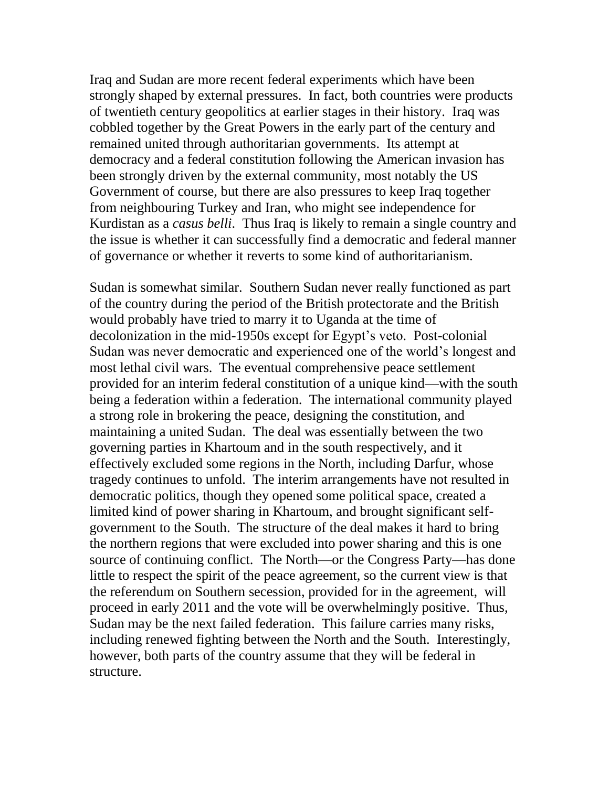Iraq and Sudan are more recent federal experiments which have been strongly shaped by external pressures. In fact, both countries were products of twentieth century geopolitics at earlier stages in their history. Iraq was cobbled together by the Great Powers in the early part of the century and remained united through authoritarian governments. Its attempt at democracy and a federal constitution following the American invasion has been strongly driven by the external community, most notably the US Government of course, but there are also pressures to keep Iraq together from neighbouring Turkey and Iran, who might see independence for Kurdistan as a *casus belli*. Thus Iraq is likely to remain a single country and the issue is whether it can successfully find a democratic and federal manner of governance or whether it reverts to some kind of authoritarianism.

Sudan is somewhat similar. Southern Sudan never really functioned as part of the country during the period of the British protectorate and the British would probably have tried to marry it to Uganda at the time of decolonization in the mid-1950s except for Egypt's veto. Post-colonial Sudan was never democratic and experienced one of the world's longest and most lethal civil wars. The eventual comprehensive peace settlement provided for an interim federal constitution of a unique kind—with the south being a federation within a federation. The international community played a strong role in brokering the peace, designing the constitution, and maintaining a united Sudan. The deal was essentially between the two governing parties in Khartoum and in the south respectively, and it effectively excluded some regions in the North, including Darfur, whose tragedy continues to unfold. The interim arrangements have not resulted in democratic politics, though they opened some political space, created a limited kind of power sharing in Khartoum, and brought significant selfgovernment to the South. The structure of the deal makes it hard to bring the northern regions that were excluded into power sharing and this is one source of continuing conflict. The North—or the Congress Party—has done little to respect the spirit of the peace agreement, so the current view is that the referendum on Southern secession, provided for in the agreement, will proceed in early 2011 and the vote will be overwhelmingly positive. Thus, Sudan may be the next failed federation. This failure carries many risks, including renewed fighting between the North and the South. Interestingly, however, both parts of the country assume that they will be federal in structure.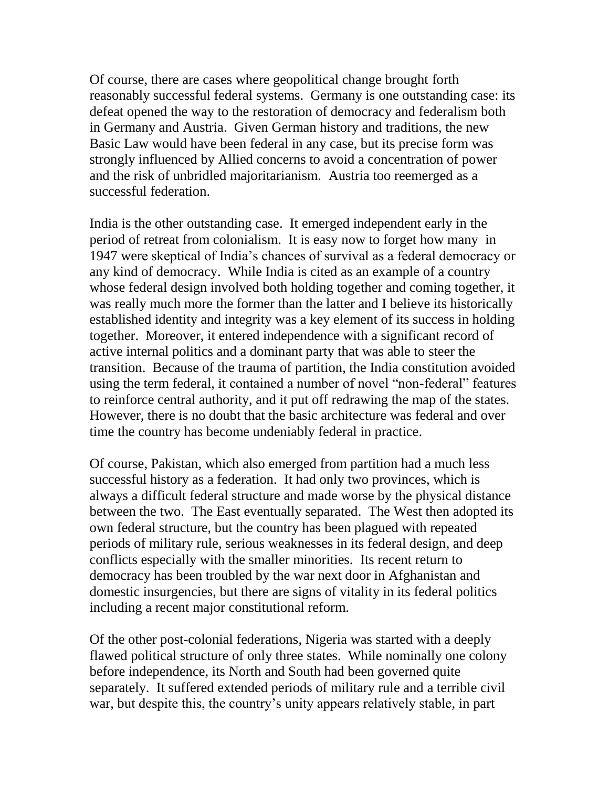Of course, there are cases where geopolitical change brought forth reasonably successful federal systems. Germany is one outstanding case: its defeat opened the way to the restoration of democracy and federalism both in Germany and Austria. Given German history and traditions, the new Basic Law would have been federal in any case, but its precise form was strongly influenced by Allied concerns to avoid a concentration of power and the risk of unbridled majoritarianism. Austria too reemerged as a successful federation.

India is the other outstanding case. It emerged independent early in the period of retreat from colonialism. It is easy now to forget how many in 1947 were skeptical of India's chances of survival as a federal democracy or any kind of democracy. While India is cited as an example of a country whose federal design involved both holding together and coming together, it was really much more the former than the latter and I believe its historically established identity and integrity was a key element of its success in holding together. Moreover, it entered independence with a significant record of active internal politics and a dominant party that was able to steer the transition. Because of the trauma of partition, the India constitution avoided using the term federal, it contained a number of novel "non-federal" features to reinforce central authority, and it put off redrawing the map of the states. However, there is no doubt that the basic architecture was federal and over time the country has become undeniably federal in practice.

Of course, Pakistan, which also emerged from partition had a much less successful history as a federation. It had only two provinces, which is always a difficult federal structure and made worse by the physical distance between the two. The East eventually separated. The West then adopted its own federal structure, but the country has been plagued with repeated periods of military rule, serious weaknesses in its federal design, and deep conflicts especially with the smaller minorities. Its recent return to democracy has been troubled by the war next door in Afghanistan and domestic insurgencies, but there are signs of vitality in its federal politics including a recent major constitutional reform.

Of the other post-colonial federations, Nigeria was started with a deeply flawed political structure of only three states. While nominally one colony before independence, its North and South had been governed quite separately. It suffered extended periods of military rule and a terrible civil war, but despite this, the country's unity appears relatively stable, in part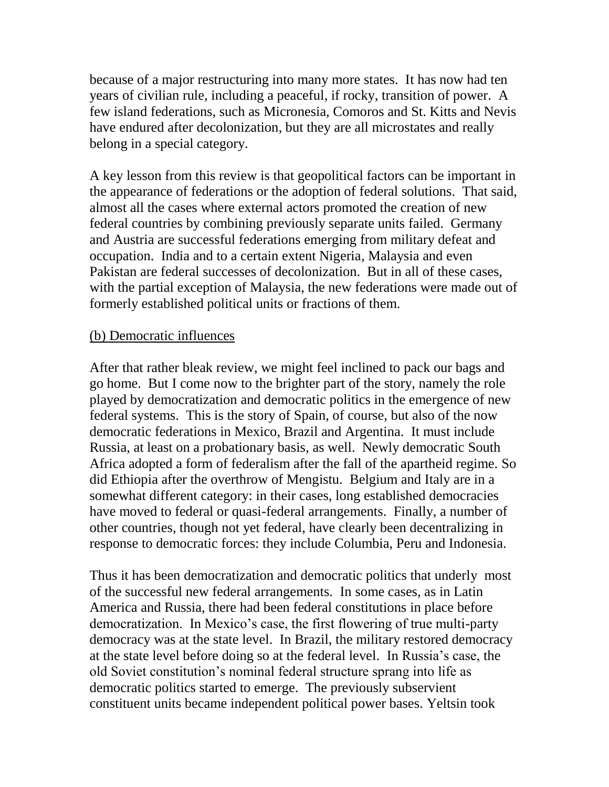because of a major restructuring into many more states. It has now had ten years of civilian rule, including a peaceful, if rocky, transition of power. A few island federations, such as Micronesia, Comoros and St. Kitts and Nevis have endured after decolonization, but they are all microstates and really belong in a special category.

A key lesson from this review is that geopolitical factors can be important in the appearance of federations or the adoption of federal solutions. That said, almost all the cases where external actors promoted the creation of new federal countries by combining previously separate units failed. Germany and Austria are successful federations emerging from military defeat and occupation. India and to a certain extent Nigeria, Malaysia and even Pakistan are federal successes of decolonization. But in all of these cases, with the partial exception of Malaysia, the new federations were made out of formerly established political units or fractions of them.

#### (b) Democratic influences

After that rather bleak review, we might feel inclined to pack our bags and go home. But I come now to the brighter part of the story, namely the role played by democratization and democratic politics in the emergence of new federal systems. This is the story of Spain, of course, but also of the now democratic federations in Mexico, Brazil and Argentina. It must include Russia, at least on a probationary basis, as well. Newly democratic South Africa adopted a form of federalism after the fall of the apartheid regime. So did Ethiopia after the overthrow of Mengistu. Belgium and Italy are in a somewhat different category: in their cases, long established democracies have moved to federal or quasi-federal arrangements. Finally, a number of other countries, though not yet federal, have clearly been decentralizing in response to democratic forces: they include Columbia, Peru and Indonesia.

Thus it has been democratization and democratic politics that underly most of the successful new federal arrangements. In some cases, as in Latin America and Russia, there had been federal constitutions in place before democratization. In Mexico's case, the first flowering of true multi-party democracy was at the state level. In Brazil, the military restored democracy at the state level before doing so at the federal level. In Russia's case, the old Soviet constitution's nominal federal structure sprang into life as democratic politics started to emerge. The previously subservient constituent units became independent political power bases. Yeltsin took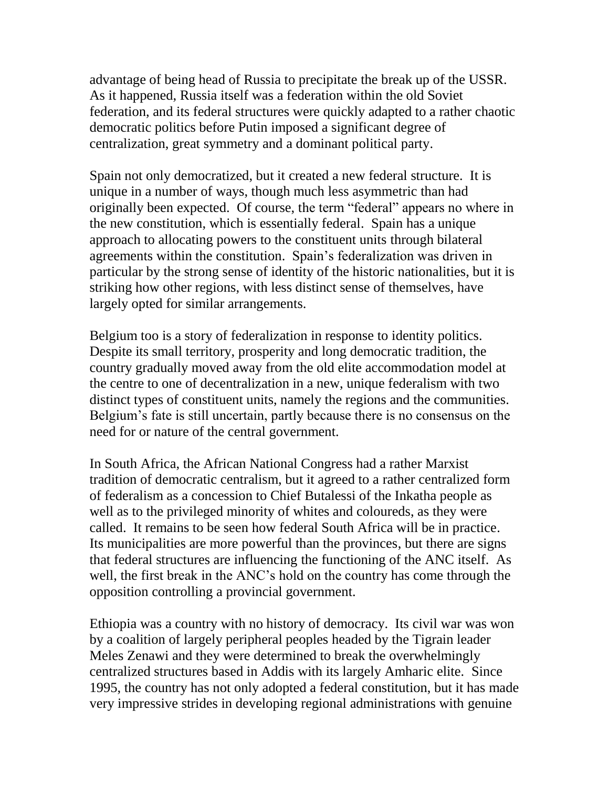advantage of being head of Russia to precipitate the break up of the USSR. As it happened, Russia itself was a federation within the old Soviet federation, and its federal structures were quickly adapted to a rather chaotic democratic politics before Putin imposed a significant degree of centralization, great symmetry and a dominant political party.

Spain not only democratized, but it created a new federal structure. It is unique in a number of ways, though much less asymmetric than had originally been expected. Of course, the term "federal" appears no where in the new constitution, which is essentially federal. Spain has a unique approach to allocating powers to the constituent units through bilateral agreements within the constitution. Spain's federalization was driven in particular by the strong sense of identity of the historic nationalities, but it is striking how other regions, with less distinct sense of themselves, have largely opted for similar arrangements.

Belgium too is a story of federalization in response to identity politics. Despite its small territory, prosperity and long democratic tradition, the country gradually moved away from the old elite accommodation model at the centre to one of decentralization in a new, unique federalism with two distinct types of constituent units, namely the regions and the communities. Belgium's fate is still uncertain, partly because there is no consensus on the need for or nature of the central government.

In South Africa, the African National Congress had a rather Marxist tradition of democratic centralism, but it agreed to a rather centralized form of federalism as a concession to Chief Butalessi of the Inkatha people as well as to the privileged minority of whites and coloureds, as they were called. It remains to be seen how federal South Africa will be in practice. Its municipalities are more powerful than the provinces, but there are signs that federal structures are influencing the functioning of the ANC itself. As well, the first break in the ANC's hold on the country has come through the opposition controlling a provincial government.

Ethiopia was a country with no history of democracy. Its civil war was won by a coalition of largely peripheral peoples headed by the Tigrain leader Meles Zenawi and they were determined to break the overwhelmingly centralized structures based in Addis with its largely Amharic elite. Since 1995, the country has not only adopted a federal constitution, but it has made very impressive strides in developing regional administrations with genuine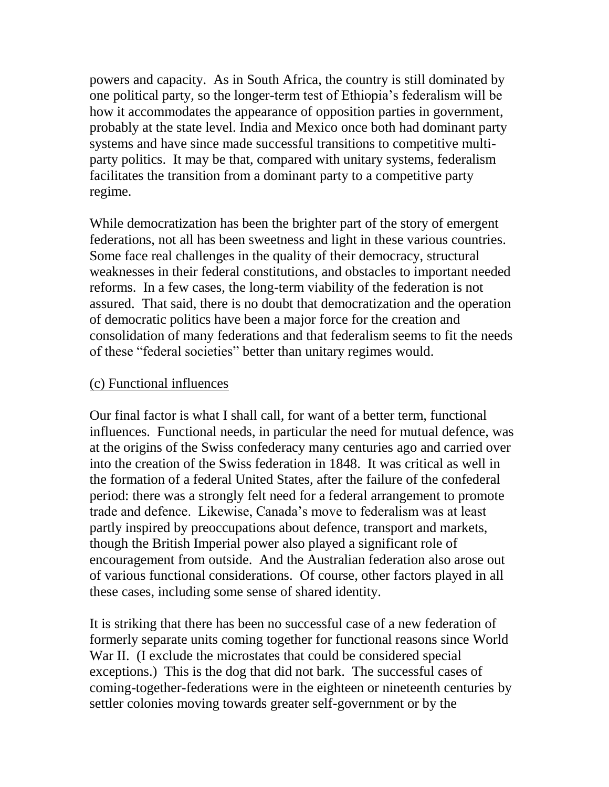powers and capacity. As in South Africa, the country is still dominated by one political party, so the longer-term test of Ethiopia's federalism will be how it accommodates the appearance of opposition parties in government, probably at the state level. India and Mexico once both had dominant party systems and have since made successful transitions to competitive multiparty politics. It may be that, compared with unitary systems, federalism facilitates the transition from a dominant party to a competitive party regime.

While democratization has been the brighter part of the story of emergent federations, not all has been sweetness and light in these various countries. Some face real challenges in the quality of their democracy, structural weaknesses in their federal constitutions, and obstacles to important needed reforms. In a few cases, the long-term viability of the federation is not assured. That said, there is no doubt that democratization and the operation of democratic politics have been a major force for the creation and consolidation of many federations and that federalism seems to fit the needs of these "federal societies" better than unitary regimes would.

#### (c) Functional influences

Our final factor is what I shall call, for want of a better term, functional influences. Functional needs, in particular the need for mutual defence, was at the origins of the Swiss confederacy many centuries ago and carried over into the creation of the Swiss federation in 1848. It was critical as well in the formation of a federal United States, after the failure of the confederal period: there was a strongly felt need for a federal arrangement to promote trade and defence. Likewise, Canada's move to federalism was at least partly inspired by preoccupations about defence, transport and markets, though the British Imperial power also played a significant role of encouragement from outside. And the Australian federation also arose out of various functional considerations. Of course, other factors played in all these cases, including some sense of shared identity.

It is striking that there has been no successful case of a new federation of formerly separate units coming together for functional reasons since World War II. (I exclude the microstates that could be considered special exceptions.) This is the dog that did not bark. The successful cases of coming-together-federations were in the eighteen or nineteenth centuries by settler colonies moving towards greater self-government or by the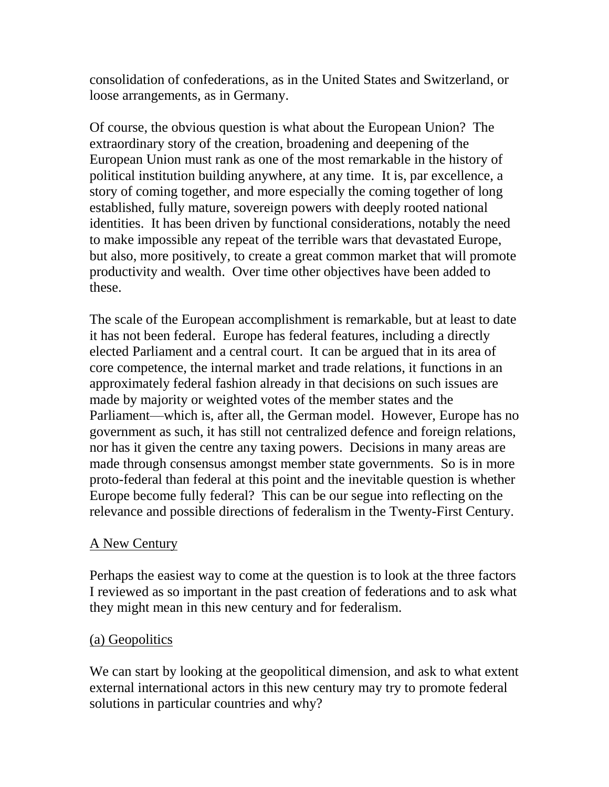consolidation of confederations, as in the United States and Switzerland, or loose arrangements, as in Germany.

Of course, the obvious question is what about the European Union? The extraordinary story of the creation, broadening and deepening of the European Union must rank as one of the most remarkable in the history of political institution building anywhere, at any time. It is, par excellence, a story of coming together, and more especially the coming together of long established, fully mature, sovereign powers with deeply rooted national identities. It has been driven by functional considerations, notably the need to make impossible any repeat of the terrible wars that devastated Europe, but also, more positively, to create a great common market that will promote productivity and wealth. Over time other objectives have been added to these.

The scale of the European accomplishment is remarkable, but at least to date it has not been federal. Europe has federal features, including a directly elected Parliament and a central court. It can be argued that in its area of core competence, the internal market and trade relations, it functions in an approximately federal fashion already in that decisions on such issues are made by majority or weighted votes of the member states and the Parliament—which is, after all, the German model. However, Europe has no government as such, it has still not centralized defence and foreign relations, nor has it given the centre any taxing powers. Decisions in many areas are made through consensus amongst member state governments. So is in more proto-federal than federal at this point and the inevitable question is whether Europe become fully federal? This can be our segue into reflecting on the relevance and possible directions of federalism in the Twenty-First Century.

# A New Century

Perhaps the easiest way to come at the question is to look at the three factors I reviewed as so important in the past creation of federations and to ask what they might mean in this new century and for federalism.

# (a) Geopolitics

We can start by looking at the geopolitical dimension, and ask to what extent external international actors in this new century may try to promote federal solutions in particular countries and why?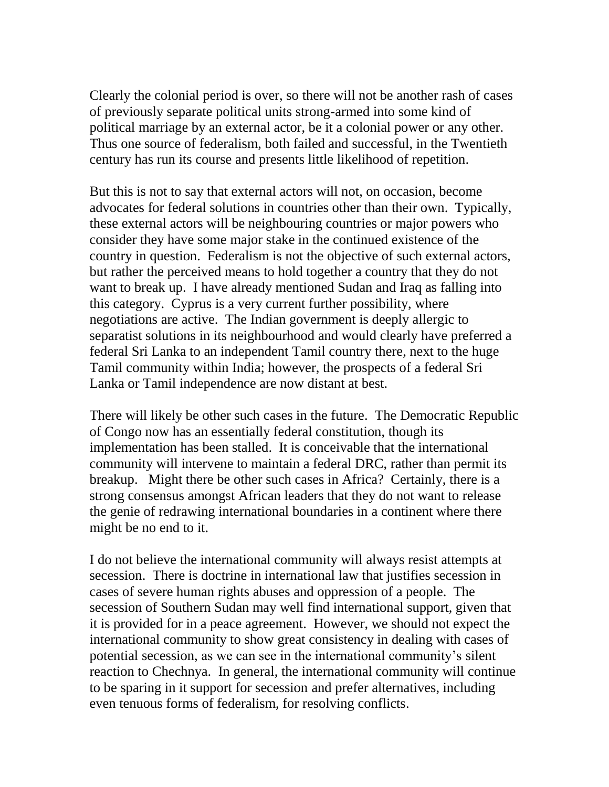Clearly the colonial period is over, so there will not be another rash of cases of previously separate political units strong-armed into some kind of political marriage by an external actor, be it a colonial power or any other. Thus one source of federalism, both failed and successful, in the Twentieth century has run its course and presents little likelihood of repetition.

But this is not to say that external actors will not, on occasion, become advocates for federal solutions in countries other than their own. Typically, these external actors will be neighbouring countries or major powers who consider they have some major stake in the continued existence of the country in question. Federalism is not the objective of such external actors, but rather the perceived means to hold together a country that they do not want to break up. I have already mentioned Sudan and Iraq as falling into this category. Cyprus is a very current further possibility, where negotiations are active. The Indian government is deeply allergic to separatist solutions in its neighbourhood and would clearly have preferred a federal Sri Lanka to an independent Tamil country there, next to the huge Tamil community within India; however, the prospects of a federal Sri Lanka or Tamil independence are now distant at best.

There will likely be other such cases in the future. The Democratic Republic of Congo now has an essentially federal constitution, though its implementation has been stalled. It is conceivable that the international community will intervene to maintain a federal DRC, rather than permit its breakup. Might there be other such cases in Africa? Certainly, there is a strong consensus amongst African leaders that they do not want to release the genie of redrawing international boundaries in a continent where there might be no end to it.

I do not believe the international community will always resist attempts at secession. There is doctrine in international law that justifies secession in cases of severe human rights abuses and oppression of a people. The secession of Southern Sudan may well find international support, given that it is provided for in a peace agreement. However, we should not expect the international community to show great consistency in dealing with cases of potential secession, as we can see in the international community's silent reaction to Chechnya. In general, the international community will continue to be sparing in it support for secession and prefer alternatives, including even tenuous forms of federalism, for resolving conflicts.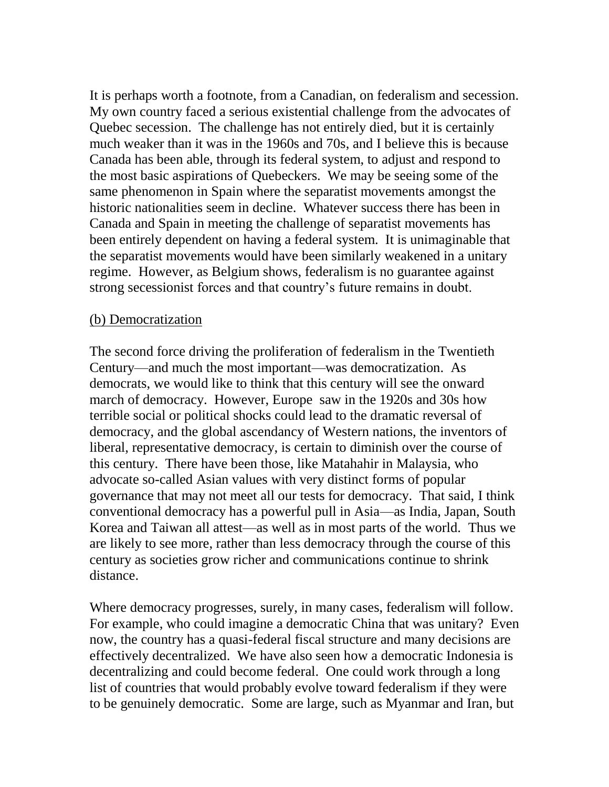It is perhaps worth a footnote, from a Canadian, on federalism and secession. My own country faced a serious existential challenge from the advocates of Quebec secession. The challenge has not entirely died, but it is certainly much weaker than it was in the 1960s and 70s, and I believe this is because Canada has been able, through its federal system, to adjust and respond to the most basic aspirations of Quebeckers. We may be seeing some of the same phenomenon in Spain where the separatist movements amongst the historic nationalities seem in decline. Whatever success there has been in Canada and Spain in meeting the challenge of separatist movements has been entirely dependent on having a federal system. It is unimaginable that the separatist movements would have been similarly weakened in a unitary regime. However, as Belgium shows, federalism is no guarantee against strong secessionist forces and that country's future remains in doubt.

#### (b) Democratization

The second force driving the proliferation of federalism in the Twentieth Century—and much the most important—was democratization. As democrats, we would like to think that this century will see the onward march of democracy. However, Europe saw in the 1920s and 30s how terrible social or political shocks could lead to the dramatic reversal of democracy, and the global ascendancy of Western nations, the inventors of liberal, representative democracy, is certain to diminish over the course of this century. There have been those, like Matahahir in Malaysia, who advocate so-called Asian values with very distinct forms of popular governance that may not meet all our tests for democracy. That said, I think conventional democracy has a powerful pull in Asia—as India, Japan, South Korea and Taiwan all attest—as well as in most parts of the world. Thus we are likely to see more, rather than less democracy through the course of this century as societies grow richer and communications continue to shrink distance.

Where democracy progresses, surely, in many cases, federalism will follow. For example, who could imagine a democratic China that was unitary? Even now, the country has a quasi-federal fiscal structure and many decisions are effectively decentralized. We have also seen how a democratic Indonesia is decentralizing and could become federal. One could work through a long list of countries that would probably evolve toward federalism if they were to be genuinely democratic. Some are large, such as Myanmar and Iran, but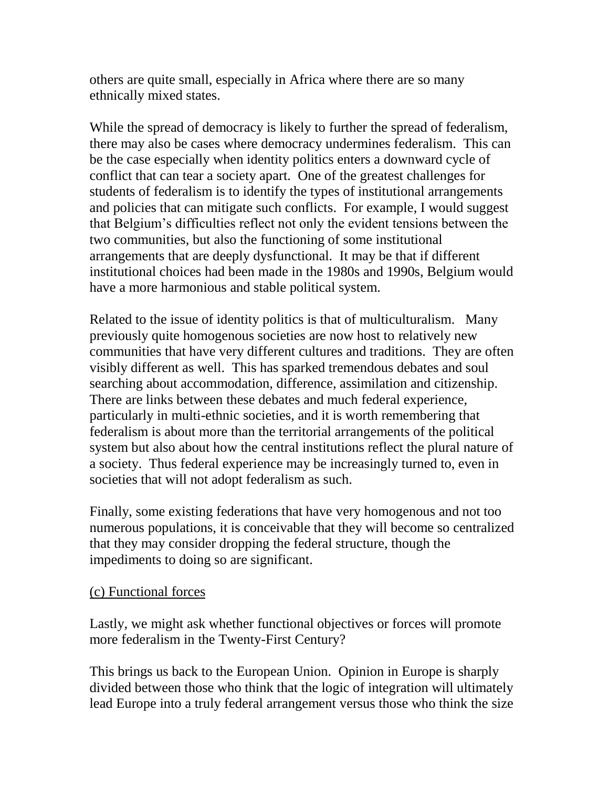others are quite small, especially in Africa where there are so many ethnically mixed states.

While the spread of democracy is likely to further the spread of federalism, there may also be cases where democracy undermines federalism. This can be the case especially when identity politics enters a downward cycle of conflict that can tear a society apart. One of the greatest challenges for students of federalism is to identify the types of institutional arrangements and policies that can mitigate such conflicts. For example, I would suggest that Belgium's difficulties reflect not only the evident tensions between the two communities, but also the functioning of some institutional arrangements that are deeply dysfunctional. It may be that if different institutional choices had been made in the 1980s and 1990s, Belgium would have a more harmonious and stable political system.

Related to the issue of identity politics is that of multiculturalism. Many previously quite homogenous societies are now host to relatively new communities that have very different cultures and traditions. They are often visibly different as well. This has sparked tremendous debates and soul searching about accommodation, difference, assimilation and citizenship. There are links between these debates and much federal experience, particularly in multi-ethnic societies, and it is worth remembering that federalism is about more than the territorial arrangements of the political system but also about how the central institutions reflect the plural nature of a society. Thus federal experience may be increasingly turned to, even in societies that will not adopt federalism as such.

Finally, some existing federations that have very homogenous and not too numerous populations, it is conceivable that they will become so centralized that they may consider dropping the federal structure, though the impediments to doing so are significant.

#### (c) Functional forces

Lastly, we might ask whether functional objectives or forces will promote more federalism in the Twenty-First Century?

This brings us back to the European Union. Opinion in Europe is sharply divided between those who think that the logic of integration will ultimately lead Europe into a truly federal arrangement versus those who think the size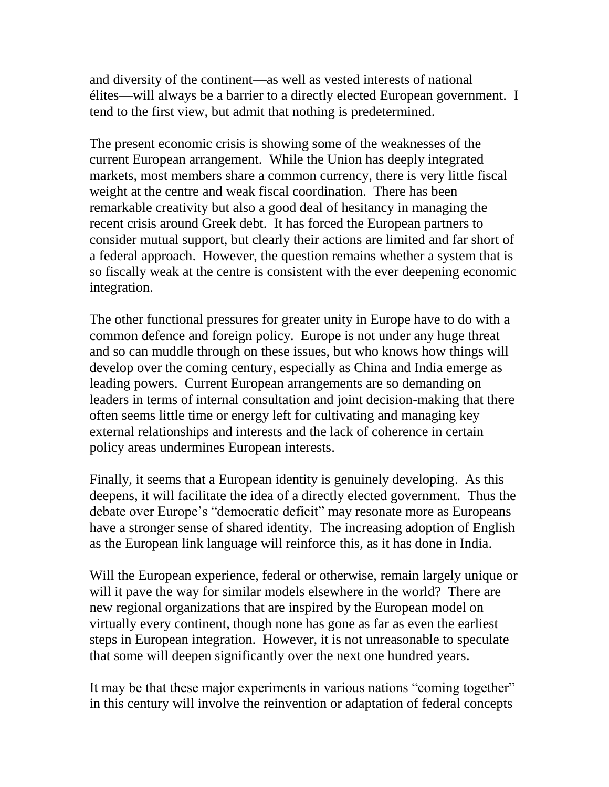and diversity of the continent—as well as vested interests of national élites—will always be a barrier to a directly elected European government. I tend to the first view, but admit that nothing is predetermined.

The present economic crisis is showing some of the weaknesses of the current European arrangement. While the Union has deeply integrated markets, most members share a common currency, there is very little fiscal weight at the centre and weak fiscal coordination. There has been remarkable creativity but also a good deal of hesitancy in managing the recent crisis around Greek debt. It has forced the European partners to consider mutual support, but clearly their actions are limited and far short of a federal approach. However, the question remains whether a system that is so fiscally weak at the centre is consistent with the ever deepening economic integration.

The other functional pressures for greater unity in Europe have to do with a common defence and foreign policy. Europe is not under any huge threat and so can muddle through on these issues, but who knows how things will develop over the coming century, especially as China and India emerge as leading powers. Current European arrangements are so demanding on leaders in terms of internal consultation and joint decision-making that there often seems little time or energy left for cultivating and managing key external relationships and interests and the lack of coherence in certain policy areas undermines European interests.

Finally, it seems that a European identity is genuinely developing. As this deepens, it will facilitate the idea of a directly elected government. Thus the debate over Europe's "democratic deficit" may resonate more as Europeans have a stronger sense of shared identity. The increasing adoption of English as the European link language will reinforce this, as it has done in India.

Will the European experience, federal or otherwise, remain largely unique or will it pave the way for similar models elsewhere in the world? There are new regional organizations that are inspired by the European model on virtually every continent, though none has gone as far as even the earliest steps in European integration. However, it is not unreasonable to speculate that some will deepen significantly over the next one hundred years.

It may be that these major experiments in various nations "coming together" in this century will involve the reinvention or adaptation of federal concepts